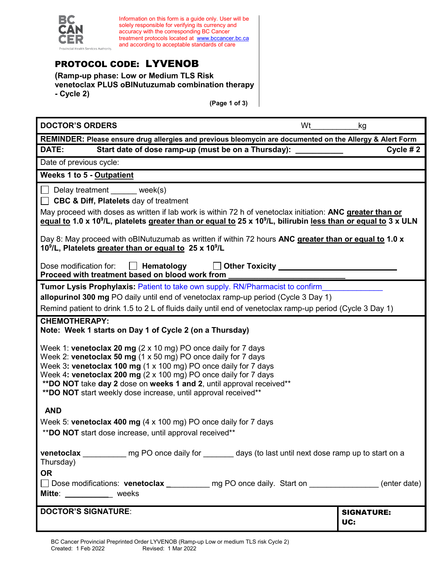

Information on this form is a guide only. User will be solely responsible for verifying its currency and accuracy with the corresponding BC Cancer treatment protocols located at [www.bccancer.bc.ca](http://www.bccancer.bc.ca/) and according to acceptable standards of care

# PROTOCOL CODE: LYVENOB

**(Ramp-up phase: Low or Medium TLS Risk venetoclax PLUS oBINutuzumab combination therapy - Cycle 2)**

**(Page 1 of 3)**

| <b>DOCTOR'S ORDERS</b><br>Wt                                                                                                                                                                                                                                                                                                                                                                                                                  | kg                       |  |
|-----------------------------------------------------------------------------------------------------------------------------------------------------------------------------------------------------------------------------------------------------------------------------------------------------------------------------------------------------------------------------------------------------------------------------------------------|--------------------------|--|
| REMINDER: Please ensure drug allergies and previous bleomycin are documented on the Allergy & Alert Form                                                                                                                                                                                                                                                                                                                                      |                          |  |
| DATE:<br>Start date of dose ramp-up (must be on a Thursday):                                                                                                                                                                                                                                                                                                                                                                                  | Cycle #2                 |  |
| Date of previous cycle:                                                                                                                                                                                                                                                                                                                                                                                                                       |                          |  |
| <b>Weeks 1 to 5 - Outpatient</b>                                                                                                                                                                                                                                                                                                                                                                                                              |                          |  |
| Delay treatment week(s)<br><b>CBC &amp; Diff, Platelets day of treatment</b><br>May proceed with doses as written if lab work is within 72 h of venetoclax initiation: ANC greater than or<br>equal to 1.0 x 10 <sup>9</sup> /L, platelets greater than or equal to 25 x 10 <sup>9</sup> /L, bilirubin less than or equal to 3 x ULN<br>Day 8: May proceed with oBINutuzumab as written if within 72 hours ANC greater than or equal to 1.0 x |                          |  |
| 10 <sup>9</sup> /L, Platelets greater than or equal to 25 x 10 <sup>9</sup> /L<br>Dose modification for:<br>Hematology<br>$\mathbf{1}$<br>Proceed with treatment based on blood work from                                                                                                                                                                                                                                                     |                          |  |
| Tumor Lysis Prophylaxis: Patient to take own supply. RN/Pharmacist to confirm                                                                                                                                                                                                                                                                                                                                                                 |                          |  |
| allopurinol 300 mg PO daily until end of venetoclax ramp-up period (Cycle 3 Day 1)                                                                                                                                                                                                                                                                                                                                                            |                          |  |
| Remind patient to drink 1.5 to 2 L of fluids daily until end of venetoclax ramp-up period (Cycle 3 Day 1)                                                                                                                                                                                                                                                                                                                                     |                          |  |
| <b>CHEMOTHERAPY:</b><br>Note: Week 1 starts on Day 1 of Cycle 2 (on a Thursday)                                                                                                                                                                                                                                                                                                                                                               |                          |  |
| Week 1: venetoclax 20 mg $(2 \times 10 \text{ mg})$ PO once daily for 7 days<br>Week 2: venetoclax 50 mg (1 x 50 mg) PO once daily for 7 days<br>Week 3: venetoclax 100 mg (1 x 100 mg) PO once daily for 7 days<br>Week 4: venetoclax 200 mg (2 x 100 mg) PO once daily for 7 days<br>**DO NOT take day 2 dose on weeks 1 and 2, until approval received**<br>** DO NOT start weekly dose increase, until approval received**                |                          |  |
| <b>AND</b>                                                                                                                                                                                                                                                                                                                                                                                                                                    |                          |  |
| Week 5: venetoclax 400 mg (4 x 100 mg) PO once daily for 7 days<br>** DO NOT start dose increase, until approval received**                                                                                                                                                                                                                                                                                                                   |                          |  |
| venetoclax ____________ mg PO once daily for ________ days (to last until next dose ramp up to start on a<br>Thursday)<br><b>OR</b><br>□ Dose modifications: venetoclax __________ mg PO once daily. Start on _______________(enter date)                                                                                                                                                                                                     |                          |  |
| Mitte: _____________ weeks                                                                                                                                                                                                                                                                                                                                                                                                                    |                          |  |
| <b>DOCTOR'S SIGNATURE:</b>                                                                                                                                                                                                                                                                                                                                                                                                                    | <b>SIGNATURE:</b><br>UC: |  |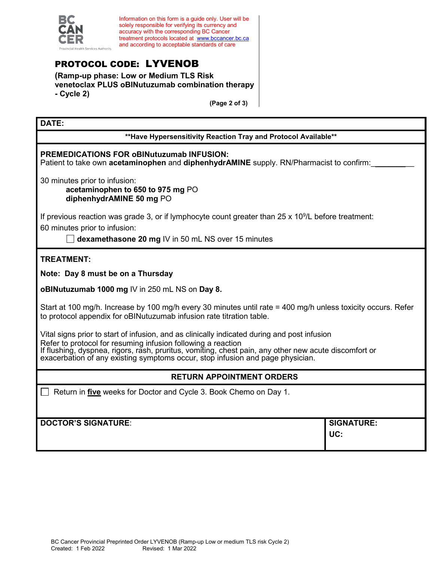

Information on this form is a guide only. User will be solely responsible for verifying its currency and accuracy with the corresponding BC Cancer treatment protocols located at [www.bccancer.bc.ca](http://www.bccancer.bc.ca/) and according to acceptable standards of care

# PROTOCOL CODE: LYVENOB

**(Ramp-up phase: Low or Medium TLS Risk venetoclax PLUS oBINutuzumab combination therapy - Cycle 2)**

**(Page 2 of 3)**

#### **DATE:**

**\*\*Have Hypersensitivity Reaction Tray and Protocol Available\*\***

### **PREMEDICATIONS FOR oBINutuzumab INFUSION:**

Patient to take own **acetaminophen** and **diphenhydrAMINE** supply. RN/Pharmacist to confirm:

30 minutes prior to infusion:

**acetaminophen to 650 to 975 mg** PO **diphenhydrAMINE 50 mg** PO

If previous reaction was grade 3, or if lymphocyte count greater than 25 x 10<sup>9</sup>/L before treatment:

60 minutes prior to infusion:

**dexamethasone 20 mg** IV in 50 mL NS over 15 minutes

**TREATMENT:**

**Note: Day 8 must be on a Thursday**

**oBINutuzumab 1000 mg** IV in 250 mL NS on **Day 8.**

Start at 100 mg/h. Increase by 100 mg/h every 30 minutes until rate = 400 mg/h unless toxicity occurs. Refer to protocol appendix for oBINutuzumab infusion rate titration table.

Vital signs prior to start of infusion, and as clinically indicated during and post infusion Refer to protocol for resuming infusion following a reaction If flushing, dyspnea, rigors, rash, pruritus, vomiting, chest pain, any other new acute discomfort or exacerbation of any existing symptoms occur, stop infusion and page physician.

### **RETURN APPOINTMENT ORDERS**

Return in **five** weeks for Doctor and Cycle 3. Book Chemo on Day 1.

**DOCTOR'S SIGNATURE**: **SIGNATURE: UC:**